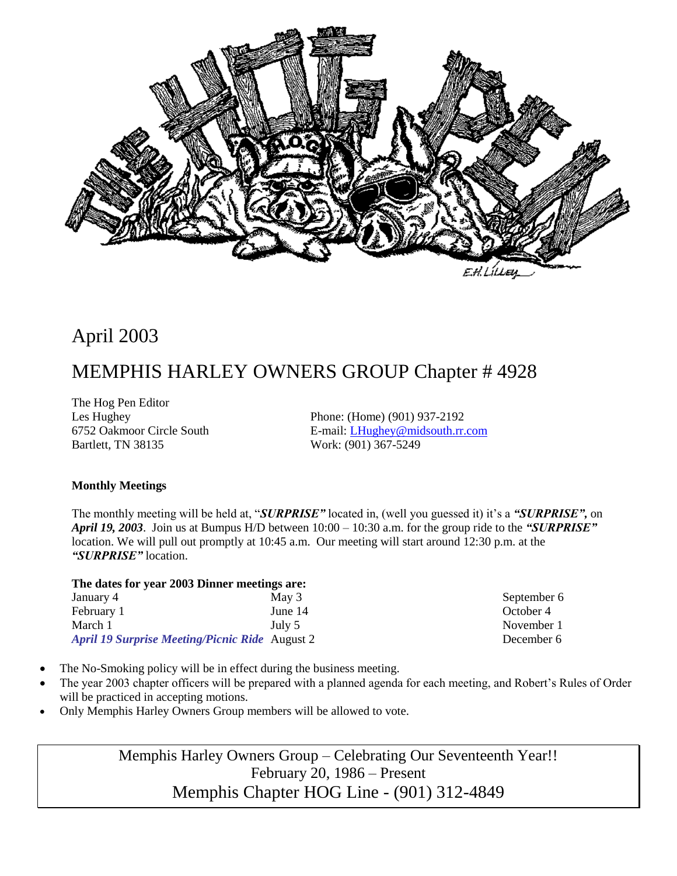

# April 2003

# MEMPHIS HARLEY OWNERS GROUP Chapter # 4928

The Hog Pen Editor Bartlett, TN 38135 Work: (901) 367-5249

Les Hughey Phone: (Home) (901) 937-2192 6752 Oakmoor Circle South E-mail: [LHughey@midsouth.rr.com](mailto:LHughey@midsouth.rr.com)

#### **Monthly Meetings**

The monthly meeting will be held at, "*SURPRISE"* located in, (well you guessed it) it's a *"SURPRISE",* on *April 19, 2003*.Join us at Bumpus H/D between 10:00 – 10:30 a.m. for the group ride to the *"SURPRISE"* location. We will pull out promptly at 10:45 a.m. Our meeting will start around 12:30 p.m. at the *"SURPRISE"* location.

# **The dates for year 2003 Dinner meetings are:**

January 4 May 3 February 1 June 14 March 1 July 5 *April 19 Surprise Meeting/Picnic Ride* August 2

September 6 October 4 November 1 December 6

- The No-Smoking policy will be in effect during the business meeting.
- The year 2003 chapter officers will be prepared with a planned agenda for each meeting, and Robert's Rules of Order will be practiced in accepting motions.
- Only Memphis Harley Owners Group members will be allowed to vote.

Memphis Harley Owners Group – Celebrating Our Seventeenth Year!! February 20, 1986 – Present Memphis Chapter HOG Line - (901) 312-4849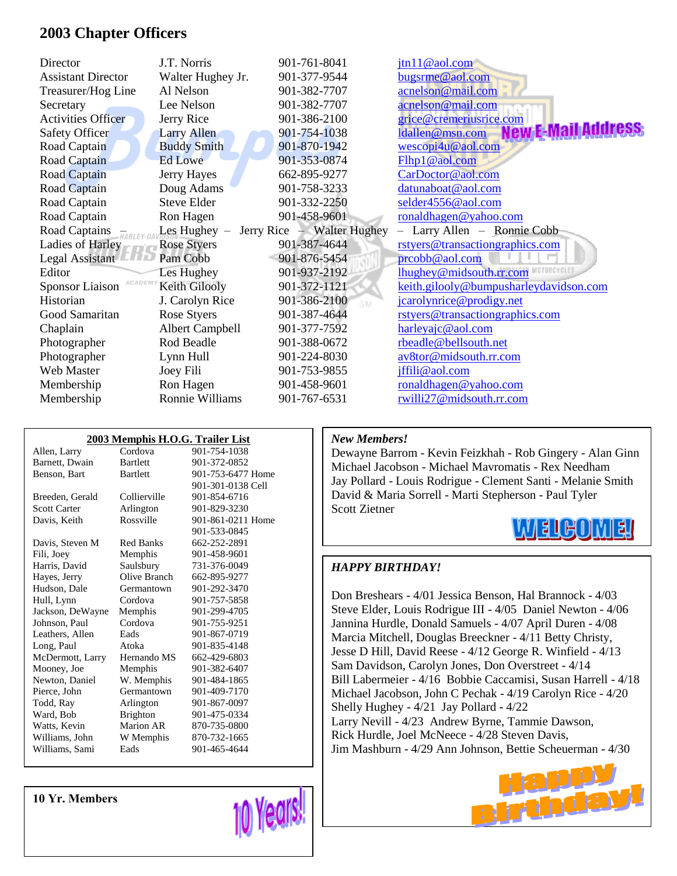### **2003 Chapter Officers**

| Director                         | J.T. Norris            | 901-761-8041               | jtn11@aol.com                          |
|----------------------------------|------------------------|----------------------------|----------------------------------------|
| <b>Assistant Director</b>        | Walter Hughey Jr.      | 901-377-9544               | bugsrme@aol.com                        |
| Treasurer/Hog Line               | Al Nelson              | 901-382-7707               | acnelson@mail.com                      |
| Secretary                        | Lee Nelson             | 901-382-7707               | acnelson@mail.com                      |
| <b>Activities Officer</b>        | Jerry Rice             | 901-386-2100               | grice@cremeriusrice.com                |
| Safety Officer                   | <b>Larry Allen</b>     | 901-754-1038               | ldallen@msn.com                        |
| Road Captain                     | <b>Buddy Smith</b>     | 901-870-1942               | wescopi4u@aol.com                      |
| Road Captain                     | Ed Lowe                | 901-353-0874               | Flhp1@aol.com                          |
| <b>Road Captain</b>              | Jerry Hayes            | 662-895-9277               | CarDoctor@aol.com                      |
| Road Captain                     | Doug Adams             | 901-758-3233               | datunaboat@aol.com                     |
| Road Captain                     | <b>Steve Elder</b>     | 901-332-2250               | selder4556@aol.com                     |
| Road Captain                     | Ron Hagen              | 901-458-9601               | ronaldhagen@yahoo.com                  |
| Road Captains                    | Les Hughey $-$         | Jerry Rice - Walter Hughey | - Larry Allen - Ronnie Cobb            |
| Ladies of Harley                 | <b>Rose Styers</b>     | 901-387-4644               | rstyers@transactiongraphics.com        |
| Legal Assistant                  | Pam Cobb               | 901-876-5454               | prcobb@aol.com                         |
| Editor                           | Les Hughey             | 901-937-2192               | lhughey@midsouth.rr.com                |
| ACADEM<br><b>Sponsor Liaison</b> | Keith Gilooly          | 901-372-1121               | keith.gilooly@bumpusharleydavidson.com |
| Historian                        | J. Carolyn Rice        | 901-386-2100               | jcarolynrice@prodigy.net               |
| Good Samaritan                   | Rose Styers            | 901-387-4644               | rstyers@transactiongraphics.com        |
| Chaplain                         | <b>Albert Campbell</b> | 901-377-7592               | harleyajc@aol.com                      |
| Photographer                     | Rod Beadle             | 901-388-0672               | rbeadle@bellsouth.net                  |
| Photographer                     | Lynn Hull              | 901-224-8030               | av8tor@midsouth.rr.com                 |
| Web Master                       | Joey Fili              | 901-753-9855               | jffili@aol.com                         |
| Membership                       | Ron Hagen              | 901-458-9601               | ronaldhagen@yahoo.com                  |
| Membership                       | Ronnie Williams        | 901-767-6531               | rwilli27@midsouth.rr.com               |

| 2003 Memphis H.O.G. Trailer List |                  |                   |  |  |  |  |
|----------------------------------|------------------|-------------------|--|--|--|--|
| Allen, Larry                     | Cordova          | 901-754-1038      |  |  |  |  |
| Barnett, Dwain                   | <b>Bartlett</b>  | 901-372-0852      |  |  |  |  |
| Benson, Bart                     | <b>Bartlett</b>  | 901-753-6477 Home |  |  |  |  |
|                                  |                  | 901-301-0138 Cell |  |  |  |  |
| Breeden, Gerald                  | Collierville     | 901-854-6716      |  |  |  |  |
| Scott Carter                     | Arlington        | 901-829-3230      |  |  |  |  |
| Davis, Keith                     | Rossville        | 901-861-0211 Home |  |  |  |  |
|                                  |                  | 901-533-0845      |  |  |  |  |
| Davis, Steven M                  | <b>Red Banks</b> | 662-252-2891      |  |  |  |  |
| Fili, Joey                       | Memphis          | 901-458-9601      |  |  |  |  |
| Harris, David                    | Saulsbury        | 731-376-0049      |  |  |  |  |
| Hayes, Jerry                     | Olive Branch     | 662-895-9277      |  |  |  |  |
| Hudson, Dale                     | Germantown       | 901-292-3470      |  |  |  |  |
| Hull, Lynn                       | Cordova          | 901-757-5858      |  |  |  |  |
| Jackson, DeWayne                 | Memphis          | 901-299-4705      |  |  |  |  |
| Johnson, Paul                    | Cordova          | 901-755-9251      |  |  |  |  |
| Leathers, Allen                  | Eads             | 901-867-0719      |  |  |  |  |
| Long, Paul                       | Atoka            | 901-835-4148      |  |  |  |  |
| McDermott, Larry                 | Hernando MS      | 662-429-6803      |  |  |  |  |
| Mooney, Joe                      | Memphis          | 901-382-6407      |  |  |  |  |
| Newton, Daniel                   | W. Memphis       | 901-484-1865      |  |  |  |  |
| Pierce, John                     | Germantown       | 901-409-7170      |  |  |  |  |
| Todd, Ray                        | Arlington        | 901-867-0097      |  |  |  |  |
| Ward, Bob                        | <b>Brighton</b>  | 901-475-0334      |  |  |  |  |
| Watts, Kevin                     | <b>Marion AR</b> | 870-735-0800      |  |  |  |  |
| Williams, John                   | W Memphis        | 870-732-1665      |  |  |  |  |
| Williams, Sami                   | Eads             | 901-465-4644      |  |  |  |  |

*New Members!*

Dewayne Barrom - Kevin Feizkhah - Rob Gingery - Alan Ginn Michael Jacobson - Michael Mavromatis - Rex Needham Jay Pollard - Louis Rodrigue - Clement Santi - Melanie Smith David & Maria Sorrell - Marti Stepherson - Paul Tyler Scott Zietner



#### *HAPPY BIRTHDAY!*

Don Breshears - 4/01 Jessica Benson, Hal Brannock - 4/03 Steve Elder, Louis Rodrigue III - 4/05 Daniel Newton - 4/06 Jannina Hurdle, Donald Samuels - 4/07 April Duren - 4/08 Marcia Mitchell, Douglas Breeckner - 4/11 Betty Christy, Jesse D Hill, David Reese - 4/12 George R. Winfield - 4/13 Sam Davidson, Carolyn Jones, Don Overstreet - 4/14 Bill Labermeier - 4/16 Bobbie Caccamisi, Susan Harrell - 4/18 Michael Jacobson, John C Pechak - 4/19 Carolyn Rice - 4/20 Shelly Hughey - 4/21 Jay Pollard - 4/22 Larry Nevill - 4/23 Andrew Byrne, Tammie Dawson, Rick Hurdle, Joel McNeece - 4/28 Steven Davis, Jim Mashburn - 4/29 Ann Johnson, Bettie Scheuerman - 4/30



**10 Yr. Members**

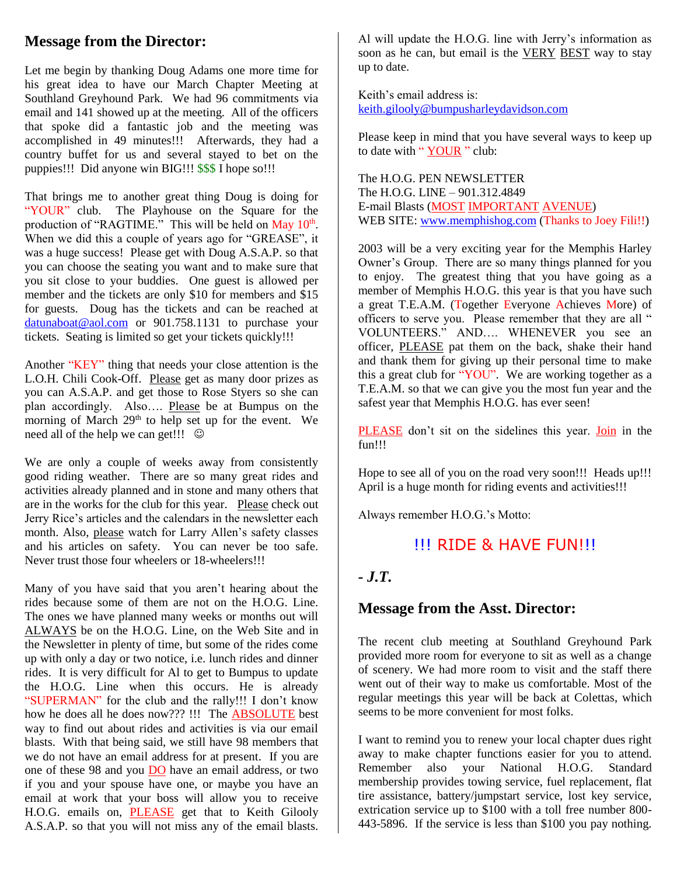# **Message from the Director:**

Let me begin by thanking Doug Adams one more time for his great idea to have our March Chapter Meeting at Southland Greyhound Park. We had 96 commitments via email and 141 showed up at the meeting. All of the officers that spoke did a fantastic job and the meeting was accomplished in 49 minutes!!! Afterwards, they had a country buffet for us and several stayed to bet on the puppies!!! Did anyone win BIG!!! \$\$\$ I hope so!!!

That brings me to another great thing Doug is doing for "YOUR" club. The Playhouse on the Square for the production of "RAGTIME." This will be held on May 10<sup>th</sup>. When we did this a couple of years ago for "GREASE", it was a huge success! Please get with Doug A.S.A.P. so that you can choose the seating you want and to make sure that you sit close to your buddies. One guest is allowed per member and the tickets are only \$10 for members and \$15 for guests. Doug has the tickets and can be reached at [datunaboat@aol.com](mailto:datunaboat@aol.com) or 901.758.1131 to purchase your tickets. Seating is limited so get your tickets quickly!!!

Another "KEY" thing that needs your close attention is the L.O.H. Chili Cook-Off. Please get as many door prizes as you can A.S.A.P. and get those to Rose Styers so she can plan accordingly. Also.... Please be at Bumpus on the morning of March 29<sup>th</sup> to help set up for the event. We need all of the help we can get!!!  $\odot$ 

We are only a couple of weeks away from consistently good riding weather. There are so many great rides and activities already planned and in stone and many others that are in the works for the club for this year. Please check out Jerry Rice's articles and the calendars in the newsletter each month. Also, please watch for Larry Allen's safety classes and his articles on safety. You can never be too safe. Never trust those four wheelers or 18-wheelers!!!

Many of you have said that you aren't hearing about the rides because some of them are not on the H.O.G. Line. The ones we have planned many weeks or months out will ALWAYS be on the H.O.G. Line, on the Web Site and in the Newsletter in plenty of time, but some of the rides come up with only a day or two notice, i.e. lunch rides and dinner rides. It is very difficult for Al to get to Bumpus to update the H.O.G. Line when this occurs. He is already "SUPERMAN" for the club and the rally!!! I don't know how he does all he does now??? !!! The ABSOLUTE best way to find out about rides and activities is via our email blasts. With that being said, we still have 98 members that we do not have an email address for at present. If you are one of these 98 and you DO have an email address, or two if you and your spouse have one, or maybe you have an email at work that your boss will allow you to receive H.O.G. emails on, **PLEASE** get that to Keith Gilooly A.S.A.P. so that you will not miss any of the email blasts.

Al will update the H.O.G. line with Jerry's information as soon as he can, but email is the VERY BEST way to stay up to date.

Keith's email address is: [keith.gilooly@bumpusharleydavidson.com](mailto:keith.gilooly@bumpusharleydavidson.com)

Please keep in mind that you have several ways to keep up to date with "**YOUR** " club:

The H.O.G. PEN NEWSLETTER The H.O.G. LINE – 901.312.4849 E-mail Blasts (MOST IMPORTANT AVENUE) WEB SITE: [www.memphishog.com](http://www.memphishog.com/) (Thanks to Joey Fili!!)

2003 will be a very exciting year for the Memphis Harley Owner's Group. There are so many things planned for you to enjoy. The greatest thing that you have going as a member of Memphis H.O.G. this year is that you have such a great T.E.A.M. (Together Everyone Achieves More) of officers to serve you. Please remember that they are all " VOLUNTEERS." AND…. WHENEVER you see an officer, PLEASE pat them on the back, shake their hand and thank them for giving up their personal time to make this a great club for "YOU". We are working together as a T.E.A.M. so that we can give you the most fun year and the safest year that Memphis H.O.G. has ever seen!

PLEASE don't sit on the sidelines this year. Join in the fun!!!

Hope to see all of you on the road very soon!!! Heads up!!! April is a huge month for riding events and activities!!!

Always remember H.O.G.'s Motto:

### !!! RIDE & HAVE FUN!!!

#### *- J.T.*

#### **Message from the Asst. Director:**

The recent club meeting at Southland Greyhound Park provided more room for everyone to sit as well as a change of scenery. We had more room to visit and the staff there went out of their way to make us comfortable. Most of the regular meetings this year will be back at Colettas, which seems to be more convenient for most folks.

I want to remind you to renew your local chapter dues right away to make chapter functions easier for you to attend. Remember also your National H.O.G. Standard membership provides towing service, fuel replacement, flat tire assistance, battery/jumpstart service, lost key service, extrication service up to \$100 with a toll free number 800- 443-5896. If the service is less than \$100 you pay nothing.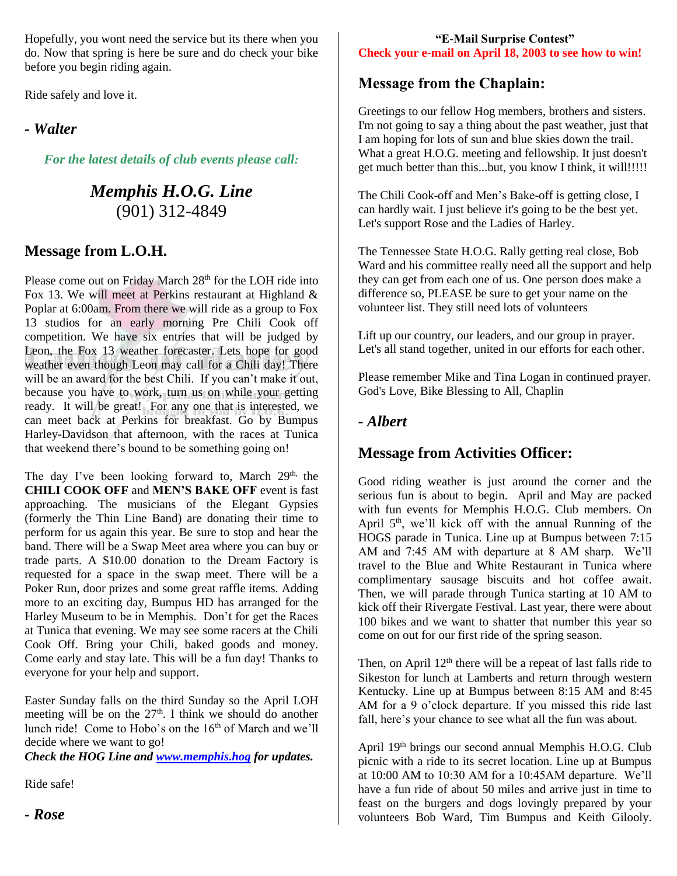Hopefully, you wont need the service but its there when you do. Now that spring is here be sure and do check your bike before you begin riding again.

Ride safely and love it.

#### *- Walter*

*For the latest details of club events please call:*

# *Memphis H.O.G. Line* (901) 312-4849

# **Message from L.O.H.**

Please come out on Friday March 28<sup>th</sup> for the LOH ride into Fox 13. We will meet at Perkins restaurant at Highland & Poplar at 6:00am. From there we will ride as a group to Fox 13 studios for an early morning Pre Chili Cook off competition. We have six entries that will be judged by Leon, the Fox 13 weather forecaster. Lets hope for good weather even though Leon may call for a Chili day! There will be an award for the best Chili. If you can't make it out, because you have to work, turn us on while your getting ready. It will be great! For any one that is interested, we can meet back at Perkins for breakfast. Go by Bumpus Harley-Davidson that afternoon, with the races at Tunica that weekend there's bound to be something going on!

The day I've been looking forward to, March  $29<sup>th</sup>$ , the **CHILI COOK OFF** and **MEN'S BAKE OFF** event is fast approaching. The musicians of the Elegant Gypsies (formerly the Thin Line Band) are donating their time to perform for us again this year. Be sure to stop and hear the band. There will be a Swap Meet area where you can buy or trade parts. A \$10.00 donation to the Dream Factory is requested for a space in the swap meet. There will be a Poker Run, door prizes and some great raffle items. Adding more to an exciting day, Bumpus HD has arranged for the Harley Museum to be in Memphis. Don't for get the Races at Tunica that evening. We may see some racers at the Chili Cook Off. Bring your Chili, baked goods and money. Come early and stay late. This will be a fun day! Thanks to everyone for your help and support.

Easter Sunday falls on the third Sunday so the April LOH meeting will be on the  $27<sup>th</sup>$ . I think we should do another lunch ride! Come to Hobo's on the 16<sup>th</sup> of March and we'll decide where we want to go!

*Check the HOG Line and [www.memphis.hog](http://www.memphis.hog/) for updates.*

Ride safe!

#### **"E-Mail Surprise Contest" Check your e-mail on April 18, 2003 to see how to win!**

### **Message from the Chaplain:**

Greetings to our fellow Hog members, brothers and sisters. I'm not going to say a thing about the past weather, just that I am hoping for lots of sun and blue skies down the trail. What a great H.O.G. meeting and fellowship. It just doesn't get much better than this...but, you know I think, it will!!!!!

The Chili Cook-off and Men's Bake-off is getting close, I can hardly wait. I just believe it's going to be the best yet. Let's support Rose and the Ladies of Harley.

The Tennessee State H.O.G. Rally getting real close, Bob Ward and his committee really need all the support and help they can get from each one of us. One person does make a difference so, PLEASE be sure to get your name on the volunteer list. They still need lots of volunteers

Lift up our country, our leaders, and our group in prayer. Let's all stand together, united in our efforts for each other.

Please remember Mike and Tina Logan in continued prayer. God's Love, Bike Blessing to All, Chaplin

### *- Albert*

#### **Message from Activities Officer:**

Good riding weather is just around the corner and the serious fun is about to begin. April and May are packed with fun events for Memphis H.O.G. Club members. On April  $5<sup>th</sup>$ , we'll kick off with the annual Running of the HOGS parade in Tunica. Line up at Bumpus between 7:15 AM and 7:45 AM with departure at 8 AM sharp. We'll travel to the Blue and White Restaurant in Tunica where complimentary sausage biscuits and hot coffee await. Then, we will parade through Tunica starting at 10 AM to kick off their Rivergate Festival. Last year, there were about 100 bikes and we want to shatter that number this year so come on out for our first ride of the spring season.

Then, on April  $12<sup>th</sup>$  there will be a repeat of last falls ride to Sikeston for lunch at Lamberts and return through western Kentucky. Line up at Bumpus between 8:15 AM and 8:45 AM for a 9 o'clock departure. If you missed this ride last fall, here's your chance to see what all the fun was about.

April 19th brings our second annual Memphis H.O.G. Club picnic with a ride to its secret location. Line up at Bumpus at 10:00 AM to 10:30 AM for a 10:45AM departure. We'll have a fun ride of about 50 miles and arrive just in time to feast on the burgers and dogs lovingly prepared by your volunteers Bob Ward, Tim Bumpus and Keith Gilooly.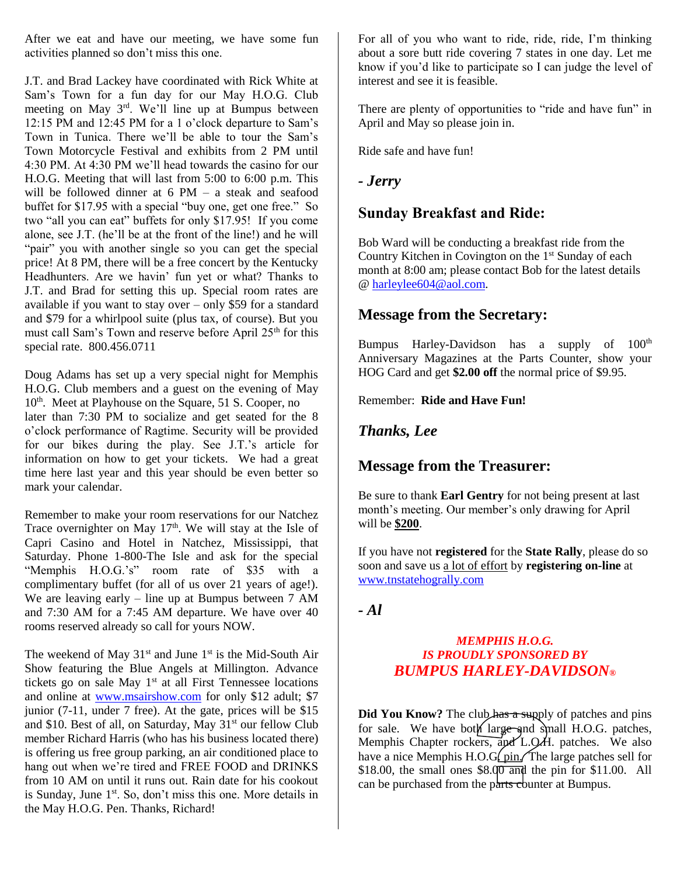After we eat and have our meeting, we have some fun activities planned so don't miss this one.

J.T. and Brad Lackey have coordinated with Rick White at Sam's Town for a fun day for our May H.O.G. Club meeting on May 3rd. We'll line up at Bumpus between 12:15 PM and 12:45 PM for a 1 o'clock departure to Sam's Town in Tunica. There we'll be able to tour the Sam's Town Motorcycle Festival and exhibits from 2 PM until 4:30 PM. At 4:30 PM we'll head towards the casino for our H.O.G. Meeting that will last from 5:00 to 6:00 p.m. This will be followed dinner at 6 PM – a steak and seafood buffet for \$17.95 with a special "buy one, get one free." So two "all you can eat" buffets for only \$17.95! If you come alone, see J.T. (he'll be at the front of the line!) and he will "pair" you with another single so you can get the special price! At 8 PM, there will be a free concert by the Kentucky Headhunters. Are we havin' fun yet or what? Thanks to J.T. and Brad for setting this up. Special room rates are available if you want to stay over – only \$59 for a standard and \$79 for a whirlpool suite (plus tax, of course). But you must call Sam's Town and reserve before April 25<sup>th</sup> for this special rate. 800.456.0711

Doug Adams has set up a very special night for Memphis H.O.G. Club members and a guest on the evening of May 10<sup>th</sup>. Meet at Playhouse on the Square, 51 S. Cooper, no later than 7:30 PM to socialize and get seated for the 8 o'clock performance of Ragtime. Security will be provided for our bikes during the play. See J.T.'s article for information on how to get your tickets. We had a great time here last year and this year should be even better so mark your calendar.

Remember to make your room reservations for our Natchez Trace overnighter on May  $17<sup>th</sup>$ . We will stay at the Isle of Capri Casino and Hotel in Natchez, Mississippi, that Saturday. Phone 1-800-The Isle and ask for the special "Memphis H.O.G.'s" room rate of \$35 with a complimentary buffet (for all of us over 21 years of age!). We are leaving early – line up at Bumpus between 7 AM and 7:30 AM for a 7:45 AM departure. We have over 40 rooms reserved already so call for yours NOW.

The weekend of May  $31<sup>st</sup>$  and June  $1<sup>st</sup>$  is the Mid-South Air Show featuring the Blue Angels at Millington. Advance tickets go on sale May 1<sup>st</sup> at all First Tennessee locations and online at [www.msairshow.com](http://www.msairshow.com/) for only \$12 adult; \$7 junior (7-11, under 7 free). At the gate, prices will be \$15 and \$10. Best of all, on Saturday, May 31<sup>st</sup> our fellow Club member Richard Harris (who has his business located there) is offering us free group parking, an air conditioned place to hang out when we're tired and FREE FOOD and DRINKS from 10 AM on until it runs out. Rain date for his cookout is Sunday, June  $1<sup>st</sup>$ . So, don't miss this one. More details in the May H.O.G. Pen. Thanks, Richard!

For all of you who want to ride, ride, ride, I'm thinking about a sore butt ride covering 7 states in one day. Let me know if you'd like to participate so I can judge the level of interest and see it is feasible.

There are plenty of opportunities to "ride and have fun" in April and May so please join in.

Ride safe and have fun!

#### *- Jerry*

#### **Sunday Breakfast and Ride:**

Bob Ward will be conducting a breakfast ride from the Country Kitchen in Covington on the  $1<sup>st</sup>$  Sunday of each month at 8:00 am; please contact Bob for the latest details @ [harleylee604@aol.com.](mailto:harleylee604@aol.com)

### **Message from the Secretary:**

Bumpus Harley-Davidson has a supply of  $100<sup>th</sup>$ Anniversary Magazines at the Parts Counter, show your HOG Card and get **\$2.00 off** the normal price of \$9.95.

Remember: **Ride and Have Fun!**

#### *Thanks, Lee*

#### **Message from the Treasurer:**

Be sure to thank **Earl Gentry** for not being present at last month's meeting. Our member's only drawing for April will be **\$200**.

If you have not **registered** for the **State Rally**, please do so soon and save us a lot of effort by **registering on-line** at [www.tnstatehogrally.com](http://www.tnstatehogrally.com/)

#### *- Al*

#### *MEMPHIS H.O.G. IS PROUDLY SPONSORED BY BUMPUS HARLEY-DAVIDSON®*

**Did You Know?** The club has a supply of patches and pins for sale. We have both large and small H.O.G. patches, Memphis Chapter rockers, and L.Q.H. patches. We also have a nice Memphis H.O.G(pin/The large patches sell for \$18.00, the small ones  $$8.00$  and the pin for \$11.00. All can be purchased from the parts counter at Bumpus.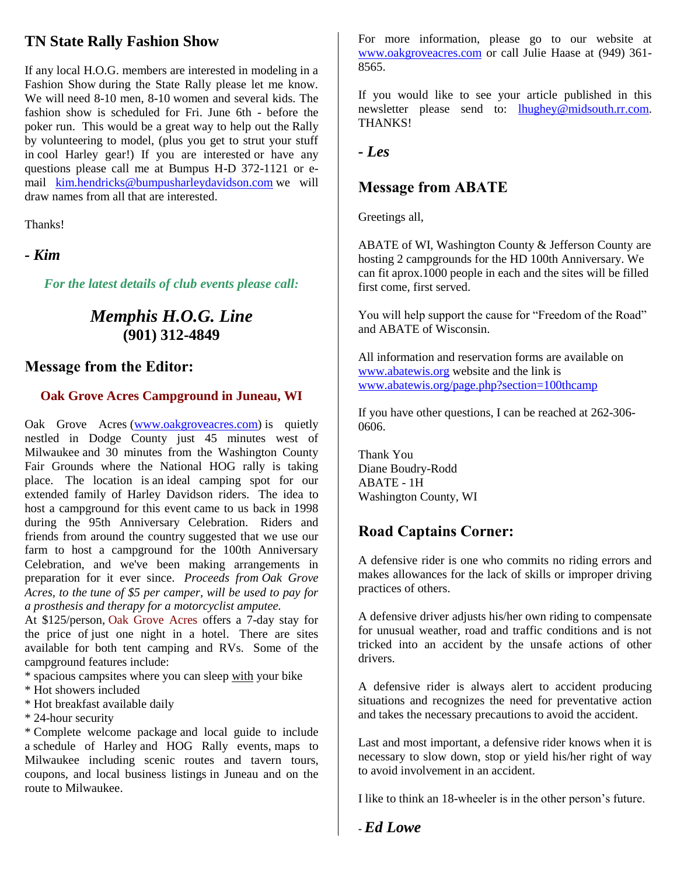# **TN State Rally Fashion Show**

If any local H.O.G. members are interested in modeling in a Fashion Show during the State Rally please let me know. We will need 8-10 men, 8-10 women and several kids. The fashion show is scheduled for Fri. June 6th - before the poker run. This would be a great way to help out the Rally by volunteering to model, (plus you get to strut your stuff in cool Harley gear!) If you are interested or have any questions please call me at Bumpus H-D 372-1121 or email [kim.hendricks@bumpusharleydavidson.com](mailto:kim.hendricks@bumpusharleydavidson.com) we will draw names from all that are interested.

Thanks!

*- Kim*

*For the latest details of club events please call:*

# *Memphis H.O.G. Line* **(901) 312-4849**

#### **Message from the Editor:**

#### **Oak Grove Acres Campground in Juneau, WI**

Oak Grove Acres [\(www.oakgroveacres.com\)](http://www.oakgroveacres.com/) is quietly nestled in Dodge County just 45 minutes west of Milwaukee and 30 minutes from the Washington County Fair Grounds where the National HOG rally is taking place. The location is an ideal camping spot for our extended family of Harley Davidson riders. The idea to host a campground for this event came to us back in 1998 during the 95th Anniversary Celebration. Riders and friends from around the country suggested that we use our farm to host a campground for the 100th Anniversary Celebration, and we've been making arrangements in preparation for it ever since. *Proceeds from Oak Grove Acres, to the tune of \$5 per camper, will be used to pay for a prosthesis and therapy for a motorcyclist amputee.* 

At \$125/person, Oak Grove Acres offers a 7-day stay for the price of just one night in a hotel. There are sites available for both tent camping and RVs. Some of the campground features include:

\* spacious campsites where you can sleep with your bike

\* Hot showers included

\* Hot breakfast available daily

\* 24-hour security

\* Complete welcome package and local guide to include a schedule of Harley and HOG Rally events, maps to Milwaukee including scenic routes and tavern tours, coupons, and local business listings in Juneau and on the route to Milwaukee.

For more information, please go to our website at [www.oakgroveacres.com](http://www.oakgroveacres.com/) or call Julie Haase at (949) 361- 8565.

If you would like to see your article published in this newsletter please send to: [lhughey@midsouth.rr.com.](mailto:lhughey@midsouth.rr.com) THANKS!

*- Les*

### **Message from ABATE**

Greetings all,

ABATE of WI, Washington County & Jefferson County are hosting 2 campgrounds for the HD 100th Anniversary. We can fit aprox.1000 people in each and the sites will be filled first come, first served.

You will help support the cause for "Freedom of the Road" and ABATE of Wisconsin.

All information and reservation forms are available on [www.abatewis.org](http://www.abatewis.org/) website and the link is [www.abatewis.org/page.php?section=100thcamp](http://www.abatewis.org/page.php?section=100thcamp)

If you have other questions, I can be reached at 262-306- 0606.

Thank You Diane Boudry-Rodd ABATE - 1H Washington County, WI

# **Road Captains Corner:**

A defensive rider is one who commits no riding errors and makes allowances for the lack of skills or improper driving practices of others.

A defensive driver adjusts his/her own riding to compensate for unusual weather, road and traffic conditions and is not tricked into an accident by the unsafe actions of other drivers.

A defensive rider is always alert to accident producing situations and recognizes the need for preventative action and takes the necessary precautions to avoid the accident.

Last and most important, a defensive rider knows when it is necessary to slow down, stop or yield his/her right of way to avoid involvement in an accident.

I like to think an 18-wheeler is in the other person's future.

**-** *Ed Lowe*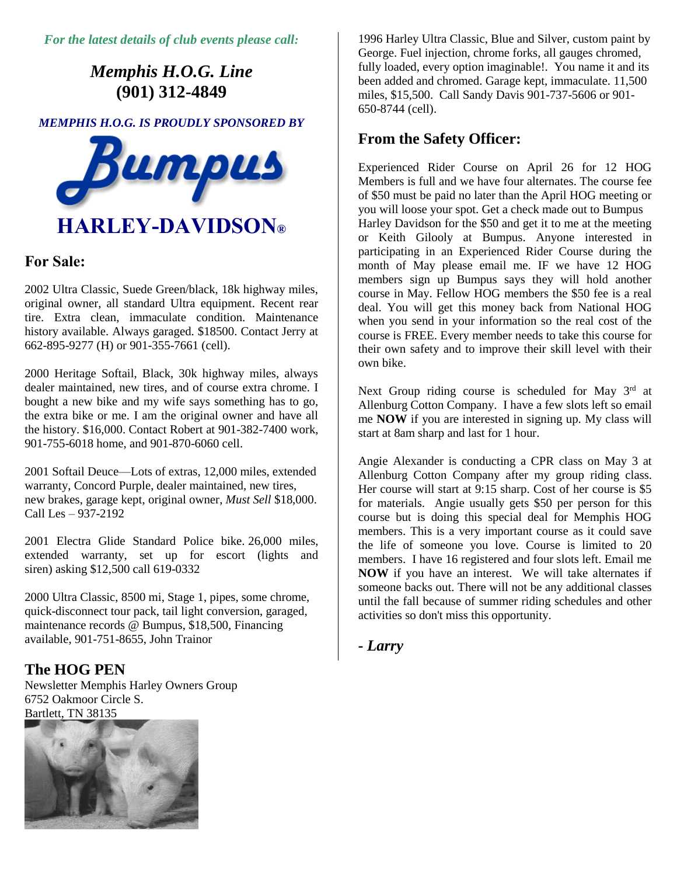*For the latest details of club events please call:*

# *Memphis H.O.G. Line* **(901) 312-4849**

*MEMPHIS H.O.G. IS PROUDLY SPONSORED BY* 



#### **For Sale:**

2002 Ultra Classic, Suede Green/black, 18k highway miles, original owner, all standard Ultra equipment. Recent rear tire. Extra clean, immaculate condition. Maintenance history available. Always garaged. \$18500. Contact Jerry at 662-895-9277 (H) or 901-355-7661 (cell).

2000 Heritage Softail, Black, 30k highway miles, always dealer maintained, new tires, and of course extra chrome. I bought a new bike and my wife says something has to go, the extra bike or me. I am the original owner and have all the history. \$16,000. Contact Robert at 901-382-7400 work, 901-755-6018 home, and 901-870-6060 cell.

2001 Softail Deuce—Lots of extras, 12,000 miles, extended warranty, Concord Purple, dealer maintained, new tires, new brakes, garage kept, original owner, *Must Sell* \$18,000. Call Les – 937-2192

2001 Electra Glide Standard Police bike. 26,000 miles, extended warranty, set up for escort (lights and siren) asking \$12,500 call 619-0332

2000 Ultra Classic, 8500 mi, Stage 1, pipes, some chrome, quick-disconnect tour pack, tail light conversion, garaged, maintenance records @ Bumpus, \$18,500, Financing available, 901-751-8655, John Trainor

#### **The HOG PEN**

Newsletter Memphis Harley Owners Group 6752 Oakmoor Circle S. Bartlett, TN 38135



1996 Harley Ultra Classic, Blue and Silver, custom paint by George. Fuel injection, chrome forks, all gauges chromed, fully loaded, every option imaginable!. You name it and its been added and chromed. Garage kept, immaculate. 11,500 miles, \$15,500. Call Sandy Davis 901-737-5606 or 901- 650-8744 (cell).

#### **From the Safety Officer:**

Experienced Rider Course on April 26 for 12 HOG Members is full and we have four alternates. The course fee of \$50 must be paid no later than the April HOG meeting or you will loose your spot. Get a check made out to Bumpus Harley Davidson for the \$50 and get it to me at the meeting or Keith Gilooly at Bumpus. Anyone interested in participating in an Experienced Rider Course during the month of May please email me. IF we have 12 HOG members sign up Bumpus says they will hold another course in May. Fellow HOG members the \$50 fee is a real deal. You will get this money back from National HOG when you send in your information so the real cost of the course is FREE. Every member needs to take this course for their own safety and to improve their skill level with their own bike.

Next Group riding course is scheduled for May  $3<sup>rd</sup>$  at Allenburg Cotton Company. I have a few slots left so email me **NOW** if you are interested in signing up. My class will start at 8am sharp and last for 1 hour.

Angie Alexander is conducting a CPR class on May 3 at Allenburg Cotton Company after my group riding class. Her course will start at 9:15 sharp. Cost of her course is \$5 for materials. Angie usually gets \$50 per person for this course but is doing this special deal for Memphis HOG members. This is a very important course as it could save the life of someone you love. Course is limited to 20 members. I have 16 registered and four slots left. Email me **NOW** if you have an interest. We will take alternates if someone backs out. There will not be any additional classes until the fall because of summer riding schedules and other activities so don't miss this opportunity.

*- Larry*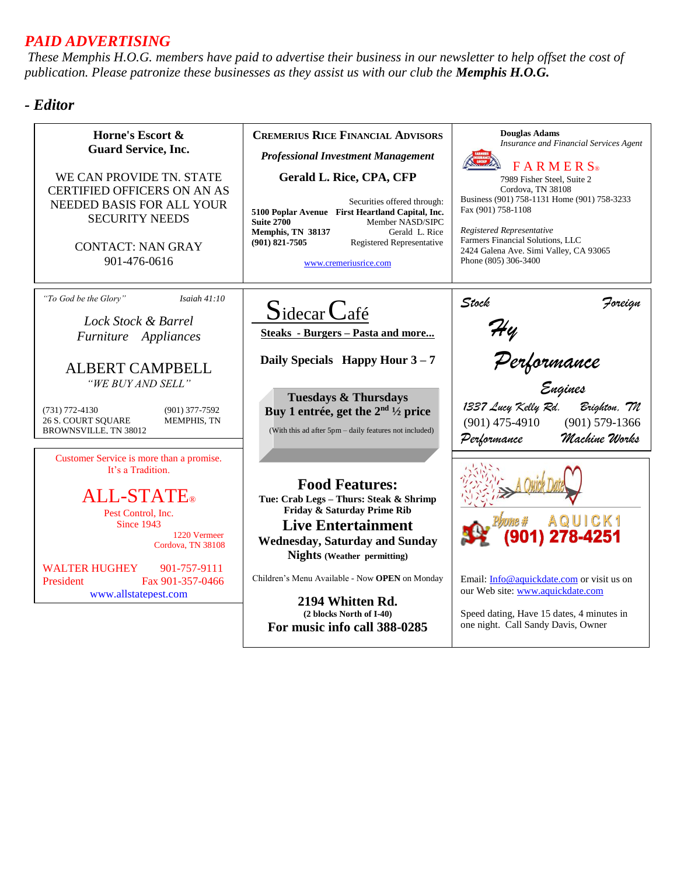# *PAID ADVERTISING*

*These Memphis H.O.G. members have paid to advertise their business in our newsletter to help offset the cost of publication. Please patronize these businesses as they assist us with our club the Memphis H.O.G.*

### *- Editor*

| Horne's Escort &<br><b>Guard Service, Inc.</b><br>WE CAN PROVIDE TN. STATE<br><b>CERTIFIED OFFICERS ON AN AS</b><br>NEEDED BASIS FOR ALL YOUR<br><b>SECURITY NEEDS</b><br><b>CONTACT: NAN GRAY</b><br>901-476-0616                                                   | <b>CREMERIUS RICE FINANCIAL ADVISORS</b><br><b>Professional Investment Management</b><br>Gerald L. Rice, CPA, CFP<br>Securities offered through:<br>5100 Poplar Avenue First Heartland Capital, Inc.<br><b>Suite 2700</b><br>Member NASD/SIPC<br>Memphis, TN 38137<br>Gerald L. Rice<br>$(901)$ 821-7505<br><b>Registered Representative</b><br>www.cremeriusrice.com | <b>Douglas Adams</b><br>Insurance and Financial Services Agent<br><b>FARMERS</b><br>7989 Fisher Steel, Suite 2<br>Cordova, TN 38108<br>Business (901) 758-1131 Home (901) 758-3233<br>Fax (901) 758-1108<br>Registered Representative<br>Farmers Financial Solutions, LLC<br>2424 Galena Ave. Simi Valley, CA 93065<br>Phone (805) 306-3400 |  |  |
|----------------------------------------------------------------------------------------------------------------------------------------------------------------------------------------------------------------------------------------------------------------------|-----------------------------------------------------------------------------------------------------------------------------------------------------------------------------------------------------------------------------------------------------------------------------------------------------------------------------------------------------------------------|---------------------------------------------------------------------------------------------------------------------------------------------------------------------------------------------------------------------------------------------------------------------------------------------------------------------------------------------|--|--|
| "To God be the Glory"<br>Isaiah $41:10$<br>Lock Stock & Barrel<br>Furniture Appliances<br><b>ALBERT CAMPBELL</b><br>"WE BUY AND SELL"<br>$(731)$ 772-4130<br>$(901)$ 377-7592<br><b>26 S. COURT SOUARE</b><br><b>MEMPHIS, TN</b><br><b>BROWNSVILLE, TN 38012</b>     | $Sidecar$ <i>Café</i><br><b>Steaks</b> - Burgers - Pasta and more<br>Daily Specials Happy Hour $3-7$<br><b>Tuesdays &amp; Thursdays</b><br>Buy 1 entrée, get the $2nd$ 1/2 price<br>(With this ad after 5pm – daily features not included)                                                                                                                            | Stock<br>Foreign<br>Hy<br>Performance<br><sub>Engines</sub><br>1337 Lucy Kelly Rd.<br>Brighton, 7N<br>$(901) 579 - 1366$<br>$(901)$ 475-4910<br>Machine Works<br>Performance                                                                                                                                                                |  |  |
| Customer Service is more than a promise.<br>It's a Tradition.<br><b>ALL-STATE</b> ®<br>Pest Control, Inc.<br><b>Since 1943</b><br>1220 Vermeer<br>Cordova, TN 38108<br><b>WALTER HUGHEY</b><br>901-757-9111<br>Fax 901-357-0466<br>President<br>www.allstatepest.com | <b>Food Features:</b><br>Tue: Crab Legs - Thurs: Steak & Shrimp<br>Friday & Saturday Prime Rib<br><b>Live Entertainment</b><br><b>Wednesday, Saturday and Sunday</b><br><b>Nights</b> (Weather permitting)<br>Children's Menu Available - Now <b>OPEN</b> on Monday<br>2194 Whitten Rd.<br>(2 blocks North of I-40)<br>For music info call 388-0285                   | Email: Info@aquickdate.com or visit us on<br>our Web site: www.aquickdate.com<br>Speed dating, Have 15 dates, 4 minutes in<br>one night. Call Sandy Davis, Owner                                                                                                                                                                            |  |  |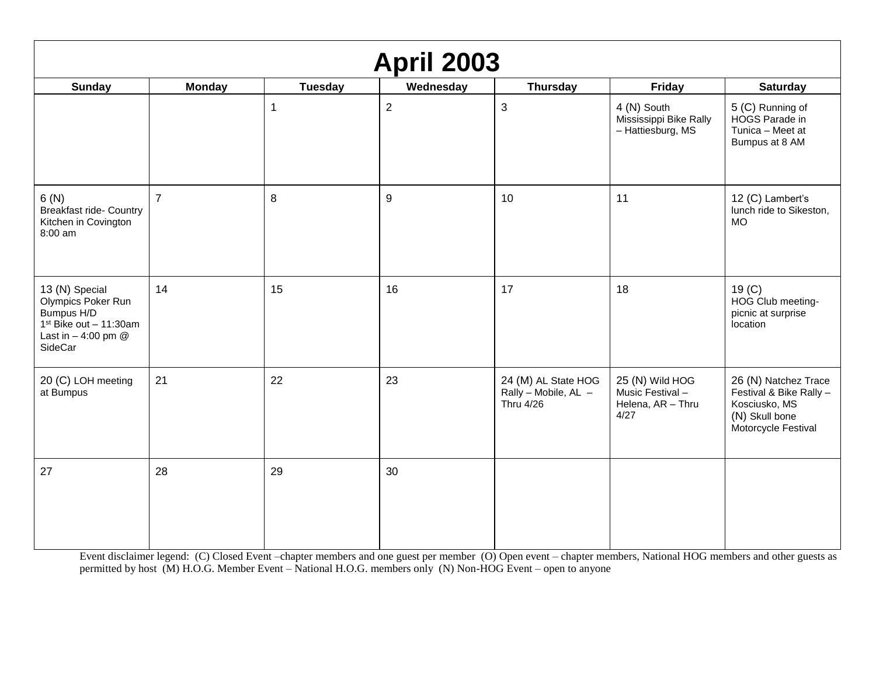| <b>April 2003</b>                                                                                                   |                |                |                  |                                                          |                                                                 |                                                                                                           |
|---------------------------------------------------------------------------------------------------------------------|----------------|----------------|------------------|----------------------------------------------------------|-----------------------------------------------------------------|-----------------------------------------------------------------------------------------------------------|
| <b>Sunday</b>                                                                                                       | <b>Monday</b>  | <b>Tuesday</b> | Wednesday        | <b>Thursday</b>                                          | Friday                                                          | <b>Saturday</b>                                                                                           |
|                                                                                                                     |                | $\mathbf 1$    | $\overline{2}$   | $\sqrt{3}$                                               | 4 (N) South<br>Mississippi Bike Rally<br>- Hattiesburg, MS      | 5 (C) Running of<br>HOGS Parade in<br>Tunica - Meet at<br>Bumpus at 8 AM                                  |
| 6(N)<br><b>Breakfast ride- Country</b><br>Kitchen in Covington<br>8:00 am                                           | $\overline{7}$ | 8              | $\boldsymbol{9}$ | 10                                                       | 11                                                              | 12 (C) Lambert's<br>lunch ride to Sikeston,<br><b>MO</b>                                                  |
| 13 (N) Special<br>Olympics Poker Run<br>Bumpus H/D<br>$1st Bike out - 11:30am$<br>Last in $-4:00$ pm $@$<br>SideCar | 14             | 15             | 16               | 17                                                       | 18                                                              | 19 <sub>(C)</sub><br>HOG Club meeting-<br>picnic at surprise<br>location                                  |
| 20 (C) LOH meeting<br>at Bumpus                                                                                     | 21             | 22             | 23               | 24 (M) AL State HOG<br>Rally - Mobile, AL -<br>Thru 4/26 | 25 (N) Wild HOG<br>Music Festival-<br>Helena, AR - Thru<br>4/27 | 26 (N) Natchez Trace<br>Festival & Bike Rally -<br>Kosciusko, MS<br>(N) Skull bone<br>Motorcycle Festival |
| 27                                                                                                                  | 28             | 29             | 30               |                                                          |                                                                 |                                                                                                           |

Event disclaimer legend: (C) Closed Event –chapter members and one guest per member (O) Open event – chapter members, National HOG members and other guests as permitted by host (M) H.O.G. Member Event – National H.O.G. members only (N) Non-HOG Event – open to anyone